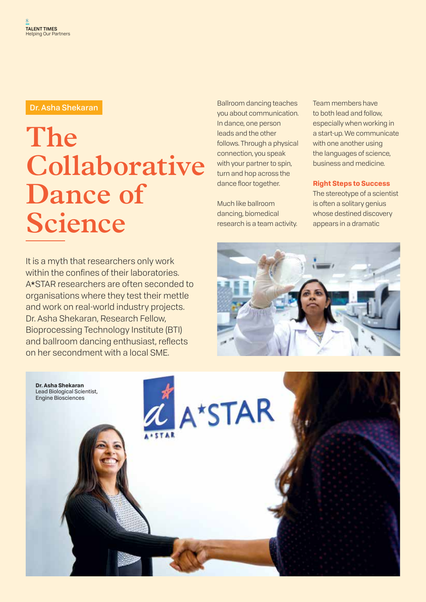# **The Collaborative Dance of Science**

It is a myth that researchers only work within the confines of their laboratories. A\*STAR researchers are often seconded to organisations where they test their mettle and work on real-world industry projects. Dr. Asha Shekaran, Research Fellow, Bioprocessing Technology Institute (BTI) and ballroom dancing enthusiast, reflects on her secondment with a local SME.

Ballroom dancing teaches you about communication. In dance, one person leads and the other follows. Through a physical connection, you speak with your partner to spin, turn and hop across the dance floor together. **Dr. Asha Shekaran** Team members have not a state of the Ballroom dancing teaches Team members have

> Much like ballroom dancing, biomedical research is a team activity.

to both lead and follow, especially when working in a start-up. We communicate with one another using the languages of science, business and medicine.

**Right Steps to Success**

The stereotype of a scientist is often a solitary genius whose destined discovery appears in a dramatic